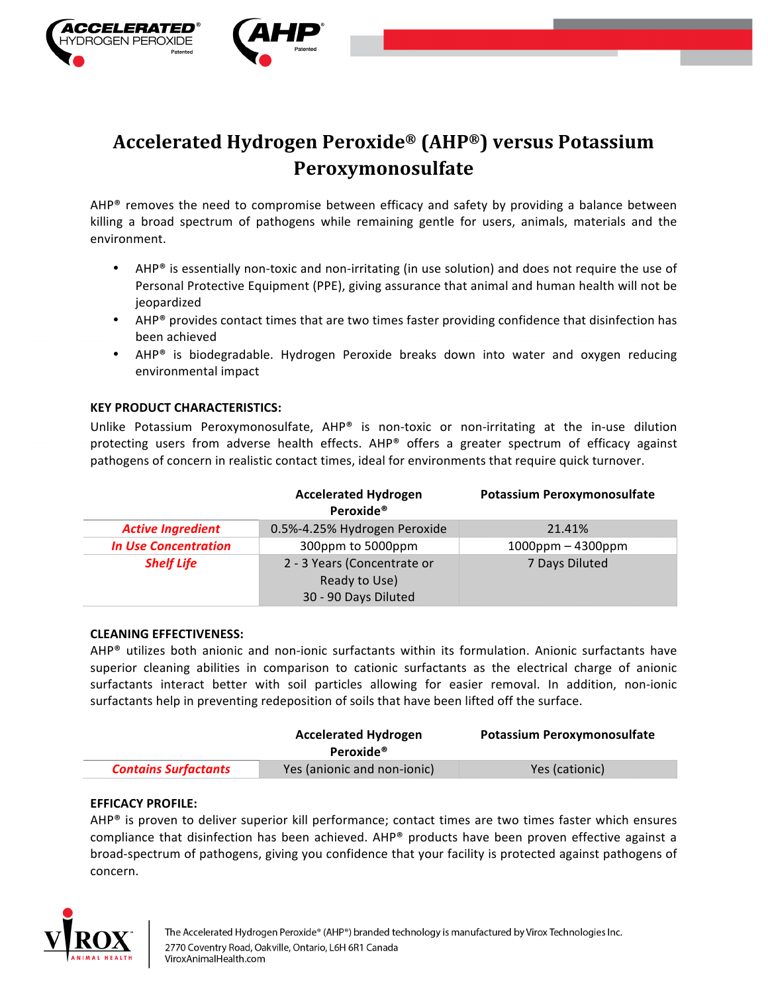

# **Accelerated Hydrogen Peroxide® (AHP®) versus Potassium Peroxymonosulfate**

AHP® removes the need to compromise between efficacy and safety by providing a balance between killing a broad spectrum of pathogens while remaining gentle for users, animals, materials and the environment.

- AHP® is essentially non-toxic and non-irritating (in use solution) and does not require the use of Personal Protective Equipment (PPE), giving assurance that animal and human health will not be jeopardized
- AHP<sup>®</sup> provides contact times that are two times faster providing confidence that disinfection has been achieved
- AHP<sup>®</sup> is biodegradable. Hydrogen Peroxide breaks down into water and oxygen reducing environmental impact

## **KEY PRODUCT CHARACTERISTICS:**

Unlike Potassium Peroxymonosulfate, AHP® is non-toxic or non-irritating at the in-use dilution protecting users from adverse health effects. AHP® offers a greater spectrum of efficacy against pathogens of concern in realistic contact times, ideal for environments that require quick turnover.

|                             | <b>Accelerated Hydrogen</b><br>Peroxide <sup>®</sup> | Potassium Peroxymonosulfate |
|-----------------------------|------------------------------------------------------|-----------------------------|
| <b>Active Ingredient</b>    | 0.5%-4.25% Hydrogen Peroxide                         | 21.41%                      |
| <b>In Use Concentration</b> | 300ppm to 5000ppm                                    | $1000$ ppm – 4300ppm        |
| <b>Shelf Life</b>           | 2 - 3 Years (Concentrate or                          | 7 Days Diluted              |
|                             | Ready to Use)                                        |                             |
|                             | 30 - 90 Days Diluted                                 |                             |

### **CLEANING EFFECTIVENESS:**

 $AHP<sup>®</sup>$  utilizes both anionic and non-ionic surfactants within its formulation. Anionic surfactants have superior cleaning abilities in comparison to cationic surfactants as the electrical charge of anionic surfactants interact better with soil particles allowing for easier removal. In addition, non-ionic surfactants help in preventing redeposition of soils that have been lifted off the surface.

|                             | <b>Accelerated Hydrogen</b><br>Peroxide <sup>®</sup> | <b>Potassium Peroxymonosulfate</b> |
|-----------------------------|------------------------------------------------------|------------------------------------|
| <b>Contains Surfactants</b> | Yes (anionic and non-ionic)                          | Yes (cationic)                     |

## **EFFICACY PROFILE:**

AHP® is proven to deliver superior kill performance; contact times are two times faster which ensures compliance that disinfection has been achieved. AHP<sup>®</sup> products have been proven effective against a broad-spectrum of pathogens, giving you confidence that your facility is protected against pathogens of concern.